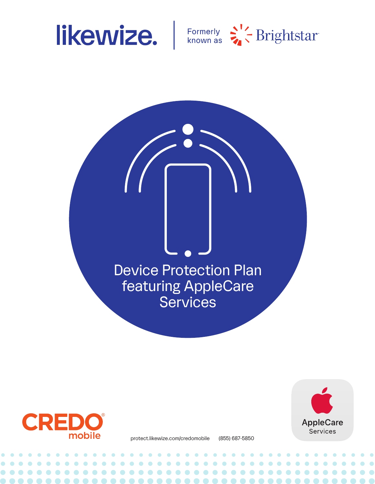



Device Protection Plan featuring AppleCare **Services** 



**AppleCare Services** 

protect.likewize.com/credomobile (855) 687-5850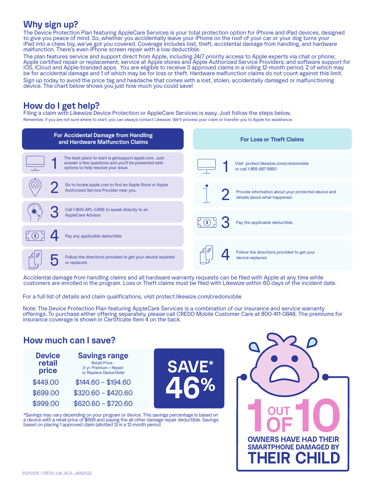## **Why sign up?**

The Device Protection Plan featuring AppleCare Services is your total protection option for iPhone and iPad devices, designed to give you peace of mind. So, whether you accidentally leave your iPhone on the roof of your car or your dog turns your iPad into a chew toy, we've got you covered. Coverage includes lost, theft, accidental damage from handling, and hardware malfunction. There's even iPhone screen repair with a low deductible.

The plan features service and support direct from Apple, including 24/7 priority access to Apple experts via chat or phone; Apple certified repair or replacement; service at Apple stores and Apple Authorized Service Providers; and software support for iOS, iCloud and Apple-branded apps. You are eligible to receive 3 approved claims in a rolling 12-month period, 2 of which may be for accidental damage and 1 of which may be for loss or theft. Hardware malfunction claims do not count against this limit.

Sign up today to avoid the price tag and headache that comes with a lost, stolen, accidentally damaged or malfunctioning device. The chart below shows you just how much you could save!

## **How do I get help?**

Filing a claim with Likewize Device Protection or AppleCare Services is easy. Just follow the steps below. Remember, if you are not sure where to start, you can always contact Likewize. We'll process your claim or transfer you to Apple for assistance.



Accidental damage from handling claims and all hardware warranty requests can be filed with Apple at any time while customers are enrolled in the program. Loss or Theft claims must be filed with Likewize within 60 days of the incident date.

For a full list of details and claim qualifications, visit protect.likewize.com/credomobile

Note: The Device Protection Plan featuring AppleCare Services is a combination of our insurance and service warranty offerings. To purchase either offering separately, please call CREDO Mobile Customer Care at 800-411-0848. The premiums for insurance coverage is shown in Certificate Item 4 on the back.

## **How much can I save?**

| <b>Device</b><br>retail<br>price | <b>Savings range</b><br><b>Retail Price -</b><br>(1 yr. Premium + Repair<br>or Replace Deductible) |
|----------------------------------|----------------------------------------------------------------------------------------------------|
| \$449.00                         | $$144.60 - $194.60$                                                                                |
| \$699.00                         | $$320.60 - $420.60$                                                                                |
| \$999.00                         | $$620.60 - $720.60$                                                                                |



\*Savings may vary depending on your program or device. This savings percentage is based on a device with a retail price of \$699 and paying the all other damage repair deductible. Savings based on placing 1 approved claim (allotted 3) in a 12-month period.

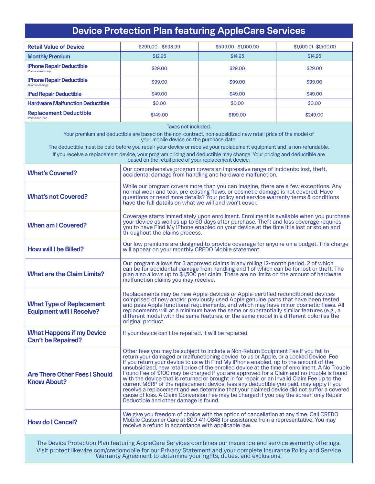# **Device Protection Plan featuring AppleCare Services**

| <b>Retail Value of Device</b>                                                                                                                                                                                                                                                                                                                                                                                                                                                            | $$299.00 - $598.99$                                                                                                                                                                                                                                                                                                                                                                                                                                                                                                                                                                                                                                                                                                                                                                                                                                                                      | \$599.00 - \$1,000.00                                                                                                                                                       | $$1,000.01 - $1,500.00$ |  |
|------------------------------------------------------------------------------------------------------------------------------------------------------------------------------------------------------------------------------------------------------------------------------------------------------------------------------------------------------------------------------------------------------------------------------------------------------------------------------------------|------------------------------------------------------------------------------------------------------------------------------------------------------------------------------------------------------------------------------------------------------------------------------------------------------------------------------------------------------------------------------------------------------------------------------------------------------------------------------------------------------------------------------------------------------------------------------------------------------------------------------------------------------------------------------------------------------------------------------------------------------------------------------------------------------------------------------------------------------------------------------------------|-----------------------------------------------------------------------------------------------------------------------------------------------------------------------------|-------------------------|--|
| <b>Monthly Premium</b>                                                                                                                                                                                                                                                                                                                                                                                                                                                                   | \$12.95                                                                                                                                                                                                                                                                                                                                                                                                                                                                                                                                                                                                                                                                                                                                                                                                                                                                                  | \$14.95                                                                                                                                                                     | \$14.95                 |  |
| <b>iPhone Repair Deductible</b><br>iPhone screen only                                                                                                                                                                                                                                                                                                                                                                                                                                    | \$29.00                                                                                                                                                                                                                                                                                                                                                                                                                                                                                                                                                                                                                                                                                                                                                                                                                                                                                  | \$29.00                                                                                                                                                                     | \$29.00                 |  |
| iPhone Repair Deductible<br>All other damage                                                                                                                                                                                                                                                                                                                                                                                                                                             | \$99.00                                                                                                                                                                                                                                                                                                                                                                                                                                                                                                                                                                                                                                                                                                                                                                                                                                                                                  | \$99.00                                                                                                                                                                     | \$99.00                 |  |
| <b>iPad Repair Deductible</b>                                                                                                                                                                                                                                                                                                                                                                                                                                                            | \$49.00                                                                                                                                                                                                                                                                                                                                                                                                                                                                                                                                                                                                                                                                                                                                                                                                                                                                                  | \$49.00                                                                                                                                                                     | \$49.00                 |  |
| <b>Hardware Malfunction Deductible</b>                                                                                                                                                                                                                                                                                                                                                                                                                                                   | \$0.00                                                                                                                                                                                                                                                                                                                                                                                                                                                                                                                                                                                                                                                                                                                                                                                                                                                                                   | \$0.00                                                                                                                                                                      | \$0.00                  |  |
| <b>Replacement Deductible</b><br>iPhone and iPad                                                                                                                                                                                                                                                                                                                                                                                                                                         | \$149.00                                                                                                                                                                                                                                                                                                                                                                                                                                                                                                                                                                                                                                                                                                                                                                                                                                                                                 | \$199.00                                                                                                                                                                    | \$249.00                |  |
| Taxes not included.<br>Your premium and deductible are based on the non-contract, non-subsidized new retail price of the model of<br>your mobile device on the purchase date.<br>The deductible must be paid before you repair your device or receive your replacement equipment and is non-refundable.<br>If you receive a replacement device, your program pricing and deductible may change. Your pricing and deductible are<br>based on the retail price of your replacement device. |                                                                                                                                                                                                                                                                                                                                                                                                                                                                                                                                                                                                                                                                                                                                                                                                                                                                                          |                                                                                                                                                                             |                         |  |
| <b>What's Covered?</b>                                                                                                                                                                                                                                                                                                                                                                                                                                                                   |                                                                                                                                                                                                                                                                                                                                                                                                                                                                                                                                                                                                                                                                                                                                                                                                                                                                                          | Our comprehensive program covers an impressive range of incidents: lost, theft,<br>accidental damage from handling and hardware malfunction.                                |                         |  |
| <b>What's not Covered?</b>                                                                                                                                                                                                                                                                                                                                                                                                                                                               | While our program covers more than you can imagine, there are a few exceptions. Any<br>normal wear and tear, pre-existing flaws, or cosmetic damage is not covered. Have<br>questions or need more details? Your policy and service warranty terms & conditions<br>have the full details on what we will and won't cover.                                                                                                                                                                                                                                                                                                                                                                                                                                                                                                                                                                |                                                                                                                                                                             |                         |  |
| <b>When am I Covered?</b>                                                                                                                                                                                                                                                                                                                                                                                                                                                                | Coverage starts immediately upon enrollment. Enrollment is available when you purchase<br>vour device as well as up to 60 days after purchase. Theft and loss coverage requires<br>you to have Find My iPhone enabled on your device at the time it is lost or stolen and<br>throughout the claims process.                                                                                                                                                                                                                                                                                                                                                                                                                                                                                                                                                                              |                                                                                                                                                                             |                         |  |
| <b>How will I be Billed?</b>                                                                                                                                                                                                                                                                                                                                                                                                                                                             | Our low premiums are designed to provide coverage for anyone on a budget. This charge<br>will appear on your monthly CREDO Mobile statement.                                                                                                                                                                                                                                                                                                                                                                                                                                                                                                                                                                                                                                                                                                                                             |                                                                                                                                                                             |                         |  |
| <b>What are the Claim Limits?</b>                                                                                                                                                                                                                                                                                                                                                                                                                                                        | Our program allows for 3 approved claims in any rolling 12-month period, 2 of which<br>can be for accidental damage from handling and 1 of which can be for lost or theft. The<br>plan also allows up to \$1,500 per claim. There are no limits on the amount of hardware<br>malfunction claims you may receive.                                                                                                                                                                                                                                                                                                                                                                                                                                                                                                                                                                         |                                                                                                                                                                             |                         |  |
| <b>What Type of Replacement</b><br><b>Equipment will I Receive?</b>                                                                                                                                                                                                                                                                                                                                                                                                                      | Replacements may be new Apple-devices or Apple-certified reconditioned devices<br>comprised of new and/or previously used Apple genuine parts that have been tested<br>and pass Apple functional requirements, and which may have minor cosmetic flaws. All<br>replacements will at a minimum have the same or substantially similar features (e.g., a<br>different model with the same features, or the same model in a different color) as the<br>original product.                                                                                                                                                                                                                                                                                                                                                                                                                    |                                                                                                                                                                             |                         |  |
| <b>What Happens if my Device</b><br><b>Can't be Repaired?</b>                                                                                                                                                                                                                                                                                                                                                                                                                            | If your device can't be repaired, it will be replaced.                                                                                                                                                                                                                                                                                                                                                                                                                                                                                                                                                                                                                                                                                                                                                                                                                                   |                                                                                                                                                                             |                         |  |
| <b>Are There Other Fees I Should</b><br><b>Know About?</b>                                                                                                                                                                                                                                                                                                                                                                                                                               | Other fees you may be subject to include a Non-Return Equipment Fee if you fail to<br>return your damaged or malfunctioning device to us or Apple, or a Locked Device Fee<br>if you return your device to us with Find My iPhone enabled, up to the amount of the<br>unsubsidized, new retail price of the enrolled device at the time of enrollment. A No Trouble<br>Found Fee of \$100 may be charged if you are approved for a Claim and no trouble is found<br>with the device that is returned or brought in for repair, or an Invalid Claim Fee up to the<br>current MSRP of the replacement device, less any deductible you paid, may apply if you<br>receive a replacement and we determine that your claimed device did not suffer a covered<br>cause of loss. A Claim Conversion Fee may be charged if you pay the screen only Repair<br>Deductible and other damage is found. |                                                                                                                                                                             |                         |  |
| <b>How do I Cancel?</b>                                                                                                                                                                                                                                                                                                                                                                                                                                                                  | receive a refund in accordance with applicable law.                                                                                                                                                                                                                                                                                                                                                                                                                                                                                                                                                                                                                                                                                                                                                                                                                                      | We give you freedom of choice with the option of cancellation at any time. Call CREDO<br>Mobile Customer Care at 800-411-0848 for assistance from a representative. You may |                         |  |
| The Device Protection Plan featuring AppleCare Services combines our insurance and service warranty offerings.<br>Visit protect.likewize.com/credomobile for our Privacy Statement and your complete Insurance Policy and Service<br>Warranty Agreement to determine your rights, duties, and exclusions.                                                                                                                                                                                |                                                                                                                                                                                                                                                                                                                                                                                                                                                                                                                                                                                                                                                                                                                                                                                                                                                                                          |                                                                                                                                                                             |                         |  |